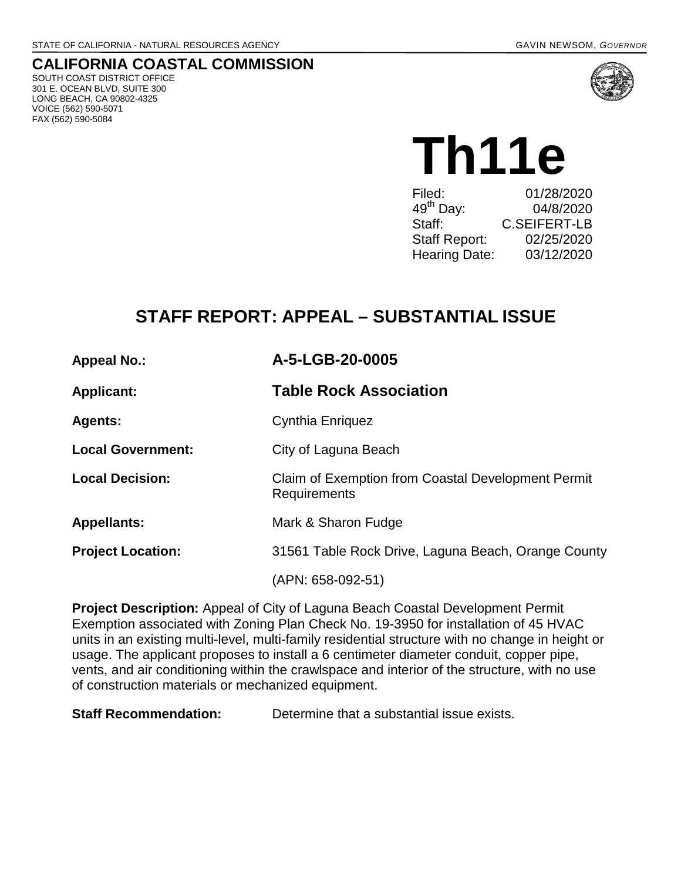## **CALIFORNIA COASTAL COMMISSION**

SOUTH COAST DISTRICT OFFICE 301 E. OCEAN BLVD, SUITE 300 LONG BEACH, CA 90802-4325 VOICE (562) 590-5071 FAX (562) 590-5084



Th11e Filed: 01/28/2020

| .                     | <u>VIILVILVLV</u> |
|-----------------------|-------------------|
| 49 <sup>th</sup> Day: | 04/8/2020         |
| Staff:                | C.SEIFERT-LB      |
| Staff Report:         | 02/25/2020        |
| Hearing Date:         | 03/12/2020        |
|                       |                   |

# **STAFF REPORT: APPEAL – SUBSTANTIAL ISSUE**

| <b>Appeal No.:</b>       | A-5-LGB-20-0005                                                    |
|--------------------------|--------------------------------------------------------------------|
| <b>Applicant:</b>        | <b>Table Rock Association</b>                                      |
| <b>Agents:</b>           | Cynthia Enriquez                                                   |
| <b>Local Government:</b> | City of Laguna Beach                                               |
| <b>Local Decision:</b>   | Claim of Exemption from Coastal Development Permit<br>Requirements |
| <b>Appellants:</b>       | Mark & Sharon Fudge                                                |
| <b>Project Location:</b> | 31561 Table Rock Drive, Laguna Beach, Orange County                |
|                          | (APN: 658-092-51)                                                  |

**Project Description:** Appeal of City of Laguna Beach Coastal Development Permit Exemption associated with Zoning Plan Check No. 19-3950 for installation of 45 HVAC units in an existing multi-level, multi-family residential structure with no change in height or usage. The applicant proposes to install a 6 centimeter diameter conduit, copper pipe, vents, and air conditioning within the crawlspace and interior of the structure, with no use of construction materials or mechanized equipment.

**Staff Recommendation:** Determine that a substantial issue exists.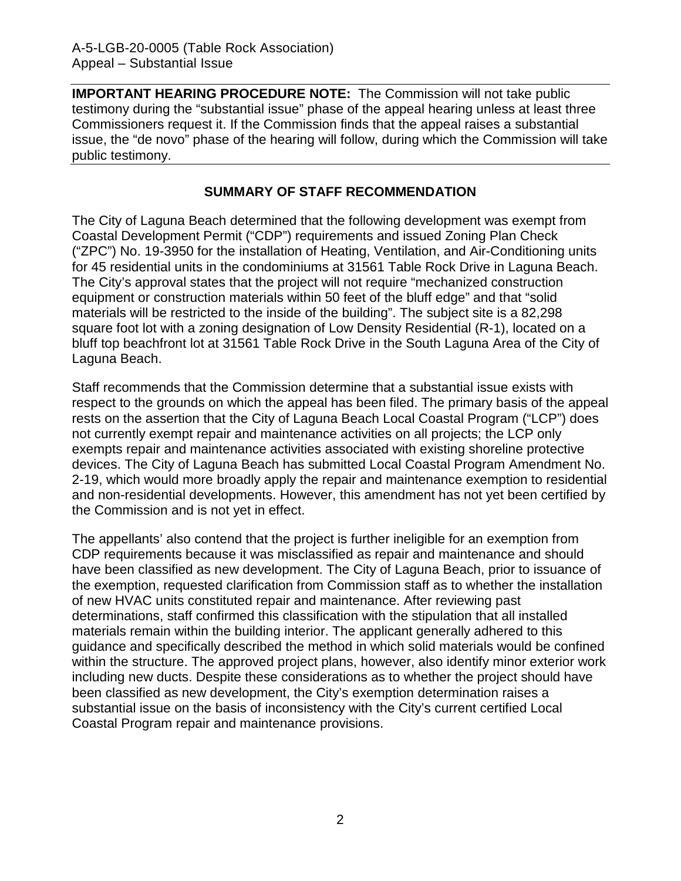**IMPORTANT HEARING PROCEDURE NOTE:** The Commission will not take public testimony during the "substantial issue" phase of the appeal hearing unless at least three Commissioners request it. If the Commission finds that the appeal raises a substantial issue, the "de novo" phase of the hearing will follow, during which the Commission will take public testimony.

#### **SUMMARY OF STAFF RECOMMENDATION**

The City of Laguna Beach determined that the following development was exempt from Coastal Development Permit ("CDP") requirements and issued Zoning Plan Check ("ZPC") No. 19-3950 for the installation of Heating, Ventilation, and Air-Conditioning units for 45 residential units in the condominiums at 31561 Table Rock Drive in Laguna Beach. The City's approval states that the project will not require "mechanized construction equipment or construction materials within 50 feet of the bluff edge" and that "solid materials will be restricted to the inside of the building". The subject site is a 82,298 square foot lot with a zoning designation of Low Density Residential (R-1), located on a bluff top beachfront lot at 31561 Table Rock Drive in the South Laguna Area of the City of Laguna Beach.

Staff recommends that the Commission determine that a substantial issue exists with respect to the grounds on which the appeal has been filed. The primary basis of the appeal rests on the assertion that the City of Laguna Beach Local Coastal Program ("LCP") does not currently exempt repair and maintenance activities on all projects; the LCP only exempts repair and maintenance activities associated with existing shoreline protective devices. The City of Laguna Beach has submitted Local Coastal Program Amendment No. 2-19, which would more broadly apply the repair and maintenance exemption to residential and non-residential developments. However, this amendment has not yet been certified by the Commission and is not yet in effect.

The appellants' also contend that the project is further ineligible for an exemption from CDP requirements because it was misclassified as repair and maintenance and should have been classified as new development. The City of Laguna Beach, prior to issuance of the exemption, requested clarification from Commission staff as to whether the installation of new HVAC units constituted repair and maintenance. After reviewing past determinations, staff confirmed this classification with the stipulation that all installed materials remain within the building interior. The applicant generally adhered to this guidance and specifically described the method in which solid materials would be confined within the structure. The approved project plans, however, also identify minor exterior work including new ducts. Despite these considerations as to whether the project should have been classified as new development, the City's exemption determination raises a substantial issue on the basis of inconsistency with the City's current certified Local Coastal Program repair and maintenance provisions.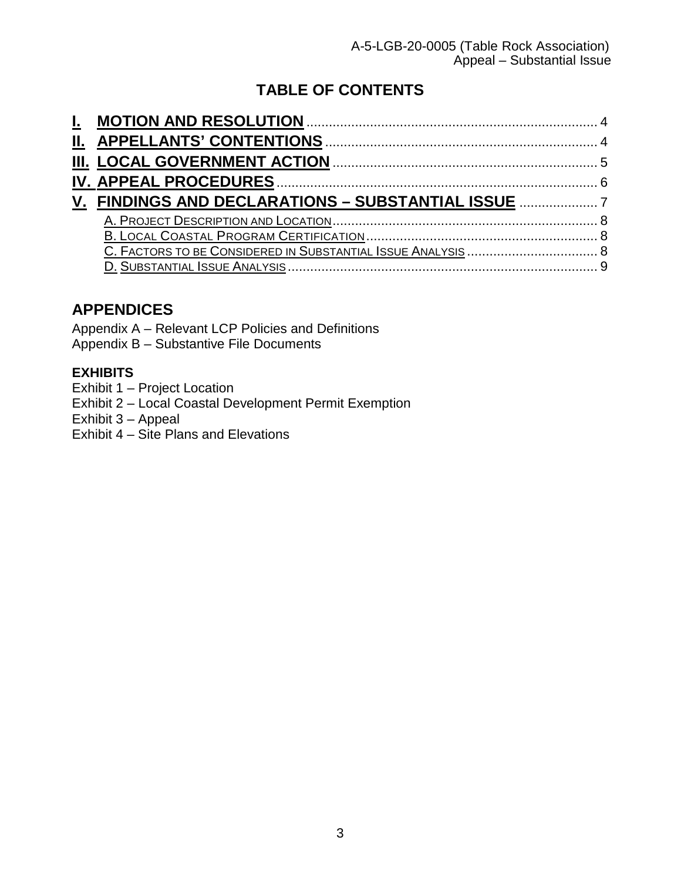## **TABLE OF CONTENTS**

| V. FINDINGS AND DECLARATIONS - SUBSTANTIAL ISSUE |
|--------------------------------------------------|
|                                                  |
|                                                  |
|                                                  |
|                                                  |
|                                                  |

## **APPENDICES**

Appendix A – Relevant LCP Policies and Definitions Appendix B – Substantive File Documents

### **[EXHIBITS](https://documents.coastal.ca.gov/reports/2017/8/w12a/w12a-8-2017-exhibits.pdf)**

- Exhibit 1 Project Location
- [Exhibit 2 Local](https://documents.coastal.ca.gov/reports/2017/8/w12a/w12a-8-2017-exhibits.pdf) Coastal Development Permit Exemption
- [Exhibit 3 Appeal](https://documents.coastal.ca.gov/reports/2017/8/w12a/w12a-8-2017-exhibits.pdf)
- Exhibit 4 Site Plans and Elevations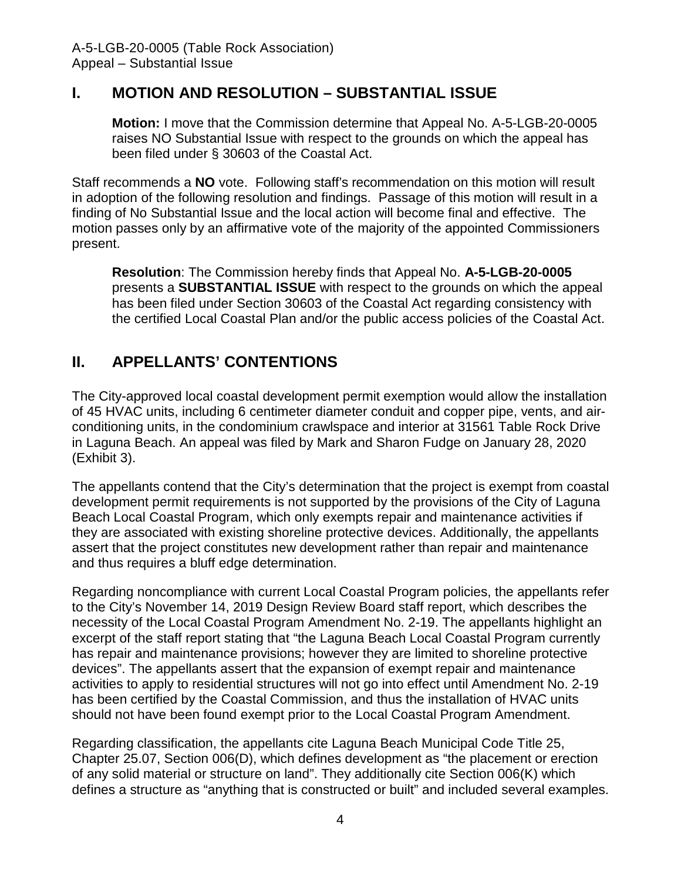## **I. MOTION AND RESOLUTION – SUBSTANTIAL ISSUE**

**Motion:** I move that the Commission determine that Appeal No. A-5-LGB-20-0005 raises NO Substantial Issue with respect to the grounds on which the appeal has been filed under § 30603 of the Coastal Act.

Staff recommends a **NO** vote. Following staff's recommendation on this motion will result in adoption of the following resolution and findings. Passage of this motion will result in a finding of No Substantial Issue and the local action will become final and effective. The motion passes only by an affirmative vote of the majority of the appointed Commissioners present.

**Resolution**: The Commission hereby finds that Appeal No. **A-5-LGB-20-0005** presents a **SUBSTANTIAL ISSUE** with respect to the grounds on which the appeal has been filed under Section 30603 of the Coastal Act regarding consistency with the certified Local Coastal Plan and/or the public access policies of the Coastal Act.

## <span id="page-3-0"></span>**II. APPELLANTS' CONTENTIONS**

<span id="page-3-1"></span>The City-approved local coastal development permit exemption would allow the installation of 45 HVAC units, including 6 centimeter diameter conduit and copper pipe, vents, and airconditioning units, in the condominium crawlspace and interior at 31561 Table Rock Drive in Laguna Beach. An appeal was filed by Mark and Sharon Fudge on January 28, 2020 (Exhibit 3).

The appellants contend that the City's determination that the project is exempt from coastal development permit requirements is not supported by the provisions of the City of Laguna Beach Local Coastal Program, which only exempts repair and maintenance activities if they are associated with existing shoreline protective devices. Additionally, the appellants assert that the project constitutes new development rather than repair and maintenance and thus requires a bluff edge determination.

Regarding noncompliance with current Local Coastal Program policies, the appellants refer to the City's November 14, 2019 Design Review Board staff report, which describes the necessity of the Local Coastal Program Amendment No. 2-19. The appellants highlight an excerpt of the staff report stating that "the Laguna Beach Local Coastal Program currently has repair and maintenance provisions; however they are limited to shoreline protective devices". The appellants assert that the expansion of exempt repair and maintenance activities to apply to residential structures will not go into effect until Amendment No. 2-19 has been certified by the Coastal Commission, and thus the installation of HVAC units should not have been found exempt prior to the Local Coastal Program Amendment.

Regarding classification, the appellants cite Laguna Beach Municipal Code Title 25, Chapter 25.07, Section 006(D), which defines development as "the placement or erection of any solid material or structure on land". They additionally cite Section 006(K) which defines a structure as "anything that is constructed or built" and included several examples.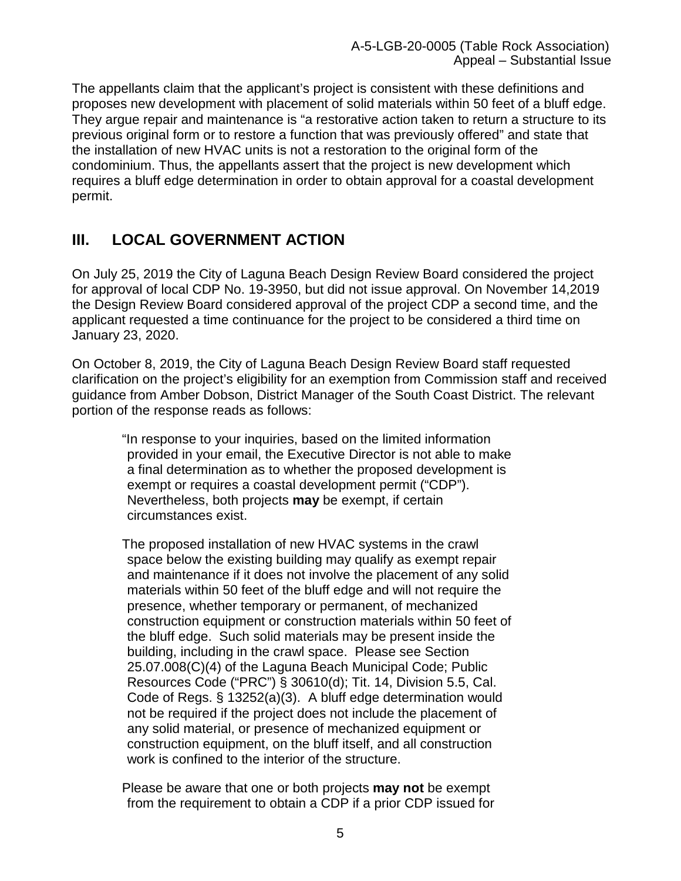The appellants claim that the applicant's project is consistent with these definitions and proposes new development with placement of solid materials within 50 feet of a bluff edge. They argue repair and maintenance is "a restorative action taken to return a structure to its previous original form or to restore a function that was previously offered" and state that the installation of new HVAC units is not a restoration to the original form of the condominium. Thus, the appellants assert that the project is new development which requires a bluff edge determination in order to obtain approval for a coastal development permit.

## **III. LOCAL GOVERNMENT ACTION**

On July 25, 2019 the City of Laguna Beach Design Review Board considered the project for approval of local CDP No. 19-3950, but did not issue approval. On November 14,2019 the Design Review Board considered approval of the project CDP a second time, and the applicant requested a time continuance for the project to be considered a third time on January 23, 2020.

On October 8, 2019, the City of Laguna Beach Design Review Board staff requested clarification on the project's eligibility for an exemption from Commission staff and received guidance from Amber Dobson, District Manager of the South Coast District. The relevant portion of the response reads as follows:

"In response to your inquiries, based on the limited information provided in your email, the Executive Director is not able to make a final determination as to whether the proposed development is exempt or requires a coastal development permit ("CDP"). Nevertheless, both projects **may** be exempt, if certain circumstances exist.

The proposed installation of new HVAC systems in the crawl space below the existing building may qualify as exempt repair and maintenance if it does not involve the placement of any solid materials within 50 feet of the bluff edge and will not require the presence, whether temporary or permanent, of mechanized construction equipment or construction materials within 50 feet of the bluff edge. Such solid materials may be present inside the building, including in the crawl space. Please see Section 25.07.008(C)(4) of the Laguna Beach Municipal Code; Public Resources Code ("PRC") § 30610(d); Tit. 14, Division 5.5, Cal. Code of Regs. § 13252(a)(3). A bluff edge determination would not be required if the project does not include the placement of any solid material, or presence of mechanized equipment or construction equipment, on the bluff itself, and all construction work is confined to the interior of the structure.

Please be aware that one or both projects **may not** be exempt from the requirement to obtain a CDP if a prior CDP issued for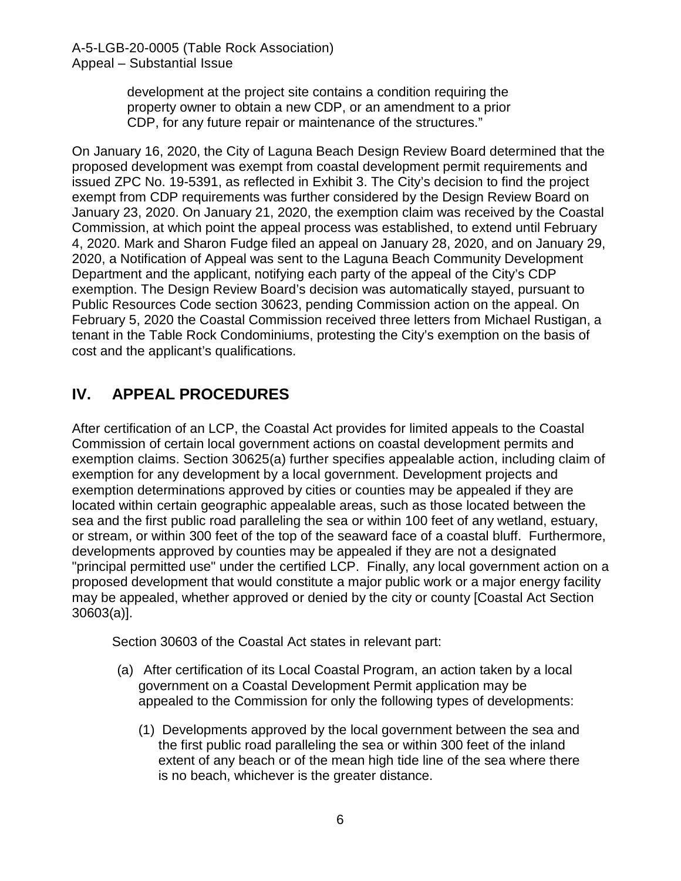> development at the project site contains a condition requiring the property owner to obtain a new CDP, or an amendment to a prior CDP, for any future repair or maintenance of the structures."

On January 16, 2020, the City of Laguna Beach Design Review Board determined that the proposed development was exempt from coastal development permit requirements and issued ZPC No. 19-5391, as reflected in Exhibit 3. The City's decision to find the project exempt from CDP requirements was further considered by the Design Review Board on January 23, 2020. On January 21, 2020, the exemption claim was received by the Coastal Commission, at which point the appeal process was established, to extend until February 4, 2020. Mark and Sharon Fudge filed an appeal on January 28, 2020, and on January 29, 2020, a Notification of Appeal was sent to the Laguna Beach Community Development Department and the applicant, notifying each party of the appeal of the City's CDP exemption. The Design Review Board's decision was automatically stayed, pursuant to Public Resources Code section 30623, pending Commission action on the appeal. On February 5, 2020 the Coastal Commission received three letters from Michael Rustigan, a tenant in the Table Rock Condominiums, protesting the City's exemption on the basis of cost and the applicant's qualifications.

## **IV. APPEAL PROCEDURES**

After certification of an LCP, the Coastal Act provides for limited appeals to the Coastal Commission of certain local government actions on coastal development permits and exemption claims. Section 30625(a) further specifies appealable action, including claim of exemption for any development by a local government. Development projects and exemption determinations approved by cities or counties may be appealed if they are located within certain geographic appealable areas, such as those located between the sea and the first public road paralleling the sea or within 100 feet of any wetland, estuary, or stream, or within 300 feet of the top of the seaward face of a coastal bluff. Furthermore, developments approved by counties may be appealed if they are not a designated "principal permitted use" under the certified LCP. Finally, any local government action on a proposed development that would constitute a major public work or a major energy facility may be appealed, whether approved or denied by the city or county [Coastal Act Section 30603(a)].

Section 30603 of the Coastal Act states in relevant part:

- (a) After certification of its Local Coastal Program, an action taken by a local government on a Coastal Development Permit application may be appealed to the Commission for only the following types of developments:
	- (1) Developments approved by the local government between the sea and the first public road paralleling the sea or within 300 feet of the inland extent of any beach or of the mean high tide line of the sea where there is no beach, whichever is the greater distance.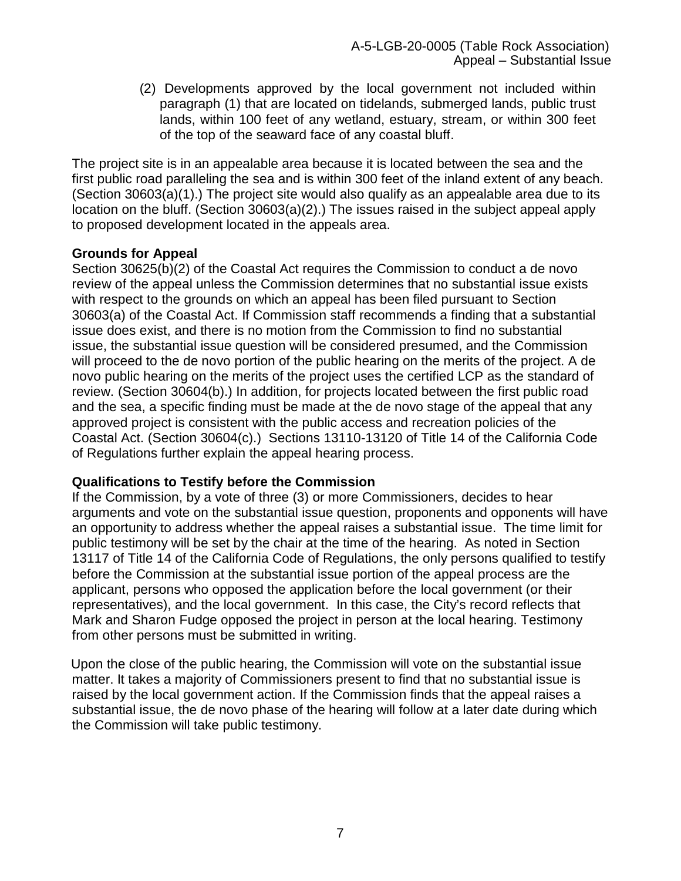(2) Developments approved by the local government not included within paragraph (1) that are located on tidelands, submerged lands, public trust lands, within 100 feet of any wetland, estuary, stream, or within 300 feet of the top of the seaward face of any coastal bluff.

The project site is in an appealable area because it is located between the sea and the first public road paralleling the sea and is within 300 feet of the inland extent of any beach. (Section 30603(a)(1).) The project site would also qualify as an appealable area due to its location on the bluff. (Section 30603(a)(2).) The issues raised in the subject appeal apply to proposed development located in the appeals area.

#### **Grounds for Appeal**

Section 30625(b)(2) of the Coastal Act requires the Commission to conduct a de novo review of the appeal unless the Commission determines that no substantial issue exists with respect to the grounds on which an appeal has been filed pursuant to Section 30603(a) of the Coastal Act. If Commission staff recommends a finding that a substantial issue does exist, and there is no motion from the Commission to find no substantial issue, the substantial issue question will be considered presumed, and the Commission will proceed to the de novo portion of the public hearing on the merits of the project. A de novo public hearing on the merits of the project uses the certified LCP as the standard of review. (Section 30604(b).) In addition, for projects located between the first public road and the sea, a specific finding must be made at the de novo stage of the appeal that any approved project is consistent with the public access and recreation policies of the Coastal Act. (Section 30604(c).) Sections 13110-13120 of Title 14 of the California Code of Regulations further explain the appeal hearing process.

### **Qualifications to Testify before the Commission**

If the Commission, by a vote of three (3) or more Commissioners, decides to hear arguments and vote on the substantial issue question, proponents and opponents will have an opportunity to address whether the appeal raises a substantial issue. The time limit for public testimony will be set by the chair at the time of the hearing. As noted in Section 13117 of Title 14 of the California Code of Regulations, the only persons qualified to testify before the Commission at the substantial issue portion of the appeal process are the applicant, persons who opposed the application before the local government (or their representatives), and the local government. In this case, the City's record reflects that Mark and Sharon Fudge opposed the project in person at the local hearing. Testimony from other persons must be submitted in writing.

Upon the close of the public hearing, the Commission will vote on the substantial issue matter. It takes a majority of Commissioners present to find that no substantial issue is raised by the local government action. If the Commission finds that the appeal raises a substantial issue, the de novo phase of the hearing will follow at a later date during which the Commission will take public testimony.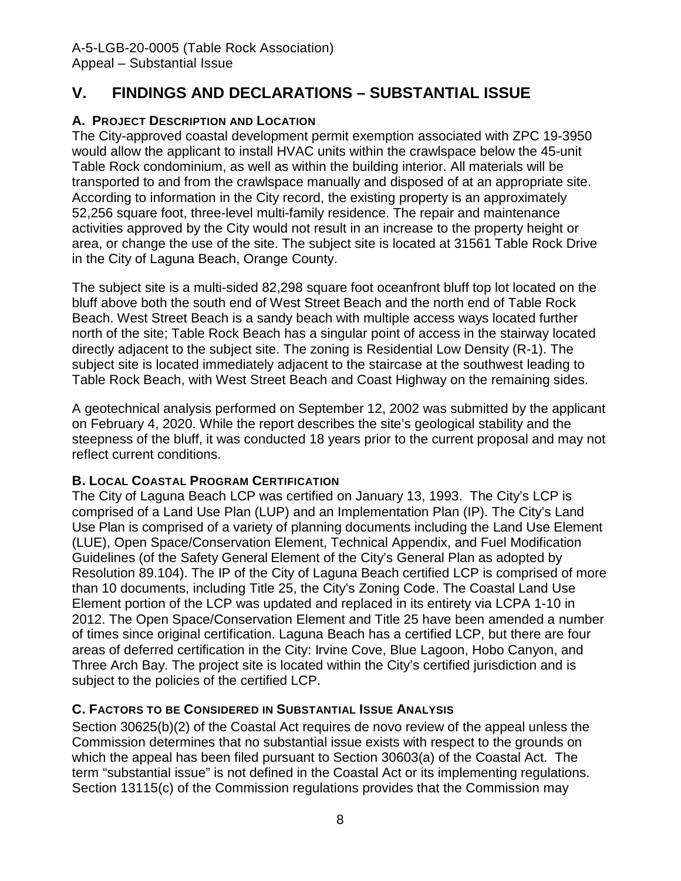## <span id="page-7-0"></span>**V. FINDINGS AND DECLARATIONS – SUBSTANTIAL ISSUE**

### <span id="page-7-2"></span><span id="page-7-1"></span>**A. PROJECT DESCRIPTION AND LOCATION**

The City-approved coastal development permit exemption associated with ZPC 19-3950 would allow the applicant to install HVAC units within the crawlspace below the 45-unit Table Rock condominium, as well as within the building interior. All materials will be transported to and from the crawlspace manually and disposed of at an appropriate site. According to information in the City record, the existing property is an approximately 52,256 square foot, three-level multi-family residence. The repair and maintenance activities approved by the City would not result in an increase to the property height or area, or change the use of the site. The subject site is located at 31561 Table Rock Drive in the City of Laguna Beach, Orange County.

The subject site is a multi-sided 82,298 square foot oceanfront bluff top lot located on the bluff above both the south end of West Street Beach and the north end of Table Rock Beach. West Street Beach is a sandy beach with multiple access ways located further north of the site; Table Rock Beach has a singular point of access in the stairway located directly adjacent to the subject site. The zoning is Residential Low Density (R-1). The subject site is located immediately adjacent to the staircase at the southwest leading to Table Rock Beach, with West Street Beach and Coast Highway on the remaining sides.

A geotechnical analysis performed on September 12, 2002 was submitted by the applicant on February 4, 2020. While the report describes the site's geological stability and the steepness of the bluff, it was conducted 18 years prior to the current proposal and may not reflect current conditions.

### **B. LOCAL COASTAL PROGRAM CERTIFICATION**

<span id="page-7-3"></span>The City of Laguna Beach LCP was certified on January 13, 1993. The City's LCP is comprised of a Land Use Plan (LUP) and an Implementation Plan (IP). The City's Land Use Plan is comprised of a variety of planning documents including the Land Use Element (LUE), Open Space/Conservation Element, Technical Appendix, and Fuel Modification Guidelines (of the Safety General Element of the City's General Plan as adopted by Resolution 89.104). The IP of the City of Laguna Beach certified LCP is comprised of more than 10 documents, including Title 25, the City's Zoning Code. The Coastal Land Use Element portion of the LCP was updated and replaced in its entirety via LCPA 1-10 in 2012. The Open Space/Conservation Element and Title 25 have been amended a number of times since original certification. Laguna Beach has a certified LCP, but there are four areas of deferred certification in the City: Irvine Cove, Blue Lagoon, Hobo Canyon, and Three Arch Bay. The project site is located within the City's certified jurisdiction and is subject to the policies of the certified LCP.

### **C. FACTORS TO BE CONSIDERED IN SUBSTANTIAL ISSUE ANALYSIS**

Section 30625(b)(2) of the Coastal Act requires de novo review of the appeal unless the Commission determines that no substantial issue exists with respect to the grounds on which the appeal has been filed pursuant to Section 30603(a) of the Coastal Act. The term "substantial issue" is not defined in the Coastal Act or its implementing regulations. Section 13115(c) of the Commission regulations provides that the Commission may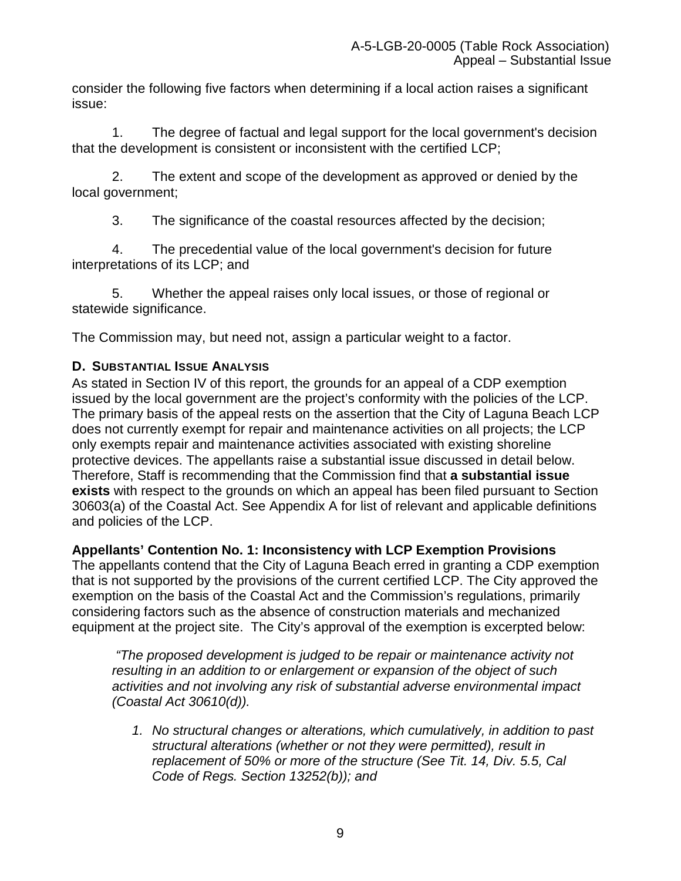consider the following five factors when determining if a local action raises a significant issue:

1. The degree of factual and legal support for the local government's decision that the development is consistent or inconsistent with the certified LCP;

2. The extent and scope of the development as approved or denied by the local government;

3. The significance of the coastal resources affected by the decision;

4. The precedential value of the local government's decision for future interpretations of its LCP; and

5. Whether the appeal raises only local issues, or those of regional or statewide significance.

The Commission may, but need not, assign a particular weight to a factor.

### <span id="page-8-0"></span>**D. SUBSTANTIAL ISSUE ANALYSIS**

As stated in Section IV of this report, the grounds for an appeal of a CDP exemption issued by the local government are the project's conformity with the policies of the LCP. The primary basis of the appeal rests on the assertion that the City of Laguna Beach LCP does not currently exempt for repair and maintenance activities on all projects; the LCP only exempts repair and maintenance activities associated with existing shoreline protective devices. The appellants raise a substantial issue discussed in detail below. Therefore, Staff is recommending that the Commission find that **a substantial issue exists** with respect to the grounds on which an appeal has been filed pursuant to Section 30603(a) of the Coastal Act. See Appendix A for list of relevant and applicable definitions and policies of the LCP.

**Appellants' Contention No. 1: Inconsistency with LCP Exemption Provisions**

The appellants contend that the City of Laguna Beach erred in granting a CDP exemption that is not supported by the provisions of the current certified LCP. The City approved the exemption on the basis of the Coastal Act and the Commission's regulations, primarily considering factors such as the absence of construction materials and mechanized equipment at the project site. The City's approval of the exemption is excerpted below:

 *"The proposed development is judged to be repair or maintenance activity not resulting in an addition to or enlargement or expansion of the object of such activities and not involving any risk of substantial adverse environmental impact (Coastal Act 30610(d)).*

*1. No structural changes or alterations, which cumulatively, in addition to past structural alterations (whether or not they were permitted), result in replacement of 50% or more of the structure (See Tit. 14, Div. 5.5, Cal Code of Regs. Section 13252(b)); and*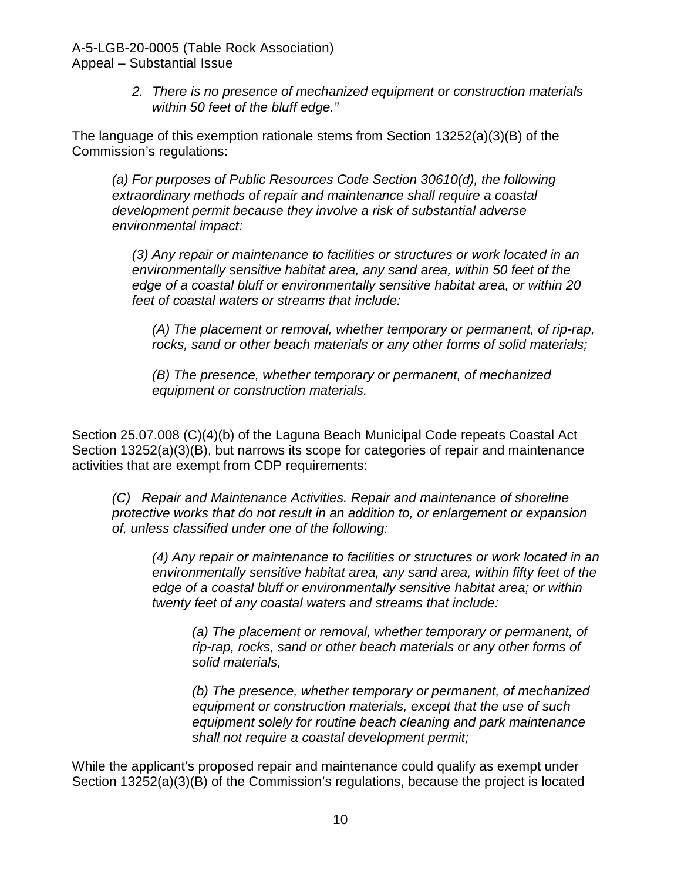> *2. There is no presence of mechanized equipment or construction materials within 50 feet of the bluff edge."*

The language of this exemption rationale stems from Section 13252(a)(3)(B) of the Commission's regulations:

*(a) For purposes of Public Resources Code Section 30610(d), the following extraordinary methods of repair and maintenance shall require a coastal development permit because they involve a risk of substantial adverse environmental impact:*

*(3) Any repair or maintenance to facilities or structures or work located in an environmentally sensitive habitat area, any sand area, within 50 feet of the edge of a coastal bluff or environmentally sensitive habitat area, or within 20 feet of coastal waters or streams that include:*

*(A) The placement or removal, whether temporary or permanent, of rip-rap, rocks, sand or other beach materials or any other forms of solid materials;*

*(B) The presence, whether temporary or permanent, of mechanized equipment or construction materials.*

Section 25.07.008 (C)(4)(b) of the Laguna Beach Municipal Code repeats Coastal Act Section 13252(a)(3)(B), but narrows its scope for categories of repair and maintenance activities that are exempt from CDP requirements:

*(C) Repair and Maintenance Activities. Repair and maintenance of shoreline protective works that do not result in an addition to, or enlargement or expansion of, unless classified under one of the following:*

*(4) Any repair or maintenance to facilities or structures or work located in an environmentally sensitive habitat area, any sand area, within fifty feet of the edge of a coastal bluff or environmentally sensitive habitat area; or within twenty feet of any coastal waters and streams that include:*

*(a) The placement or removal, whether temporary or permanent, of rip-rap, rocks, sand or other beach materials or any other forms of solid materials,*

*(b) The presence, whether temporary or permanent, of mechanized equipment or construction materials, except that the use of such equipment solely for routine beach cleaning and park maintenance shall not require a coastal development permit;*

While the applicant's proposed repair and maintenance could qualify as exempt under Section 13252(a)(3)(B) of the Commission's regulations, because the project is located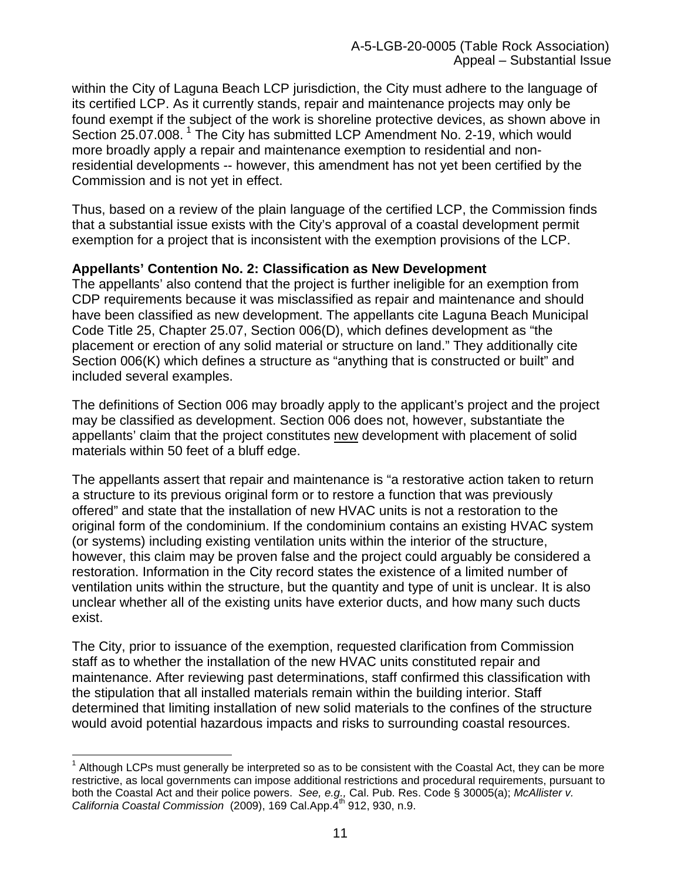within the City of Laguna Beach LCP jurisdiction, the City must adhere to the language of its certified LCP. As it currently stands, repair and maintenance projects may only be found exempt if the subject of the work is shoreline protective devices, as shown above in Section 25.07.008.<sup>[1](#page-10-0)</sup> The City has submitted LCP Amendment No. 2-19, which would more broadly apply a repair and maintenance exemption to residential and nonresidential developments -- however, this amendment has not yet been certified by the Commission and is not yet in effect.

Thus, based on a review of the plain language of the certified LCP, the Commission finds that a substantial issue exists with the City's approval of a coastal development permit exemption for a project that is inconsistent with the exemption provisions of the LCP.

#### **Appellants' Contention No. 2: Classification as New Development**

The appellants' also contend that the project is further ineligible for an exemption from CDP requirements because it was misclassified as repair and maintenance and should have been classified as new development. The appellants cite Laguna Beach Municipal Code Title 25, Chapter 25.07, Section 006(D), which defines development as "the placement or erection of any solid material or structure on land." They additionally cite Section 006(K) which defines a structure as "anything that is constructed or built" and included several examples.

The definitions of Section 006 may broadly apply to the applicant's project and the project may be classified as development. Section 006 does not, however, substantiate the appellants' claim that the project constitutes new development with placement of solid materials within 50 feet of a bluff edge.

The appellants assert that repair and maintenance is "a restorative action taken to return a structure to its previous original form or to restore a function that was previously offered" and state that the installation of new HVAC units is not a restoration to the original form of the condominium. If the condominium contains an existing HVAC system (or systems) including existing ventilation units within the interior of the structure, however, this claim may be proven false and the project could arguably be considered a restoration. Information in the City record states the existence of a limited number of ventilation units within the structure, but the quantity and type of unit is unclear. It is also unclear whether all of the existing units have exterior ducts, and how many such ducts exist.

The City, prior to issuance of the exemption, requested clarification from Commission staff as to whether the installation of the new HVAC units constituted repair and maintenance. After reviewing past determinations, staff confirmed this classification with the stipulation that all installed materials remain within the building interior. Staff determined that limiting installation of new solid materials to the confines of the structure would avoid potential hazardous impacts and risks to surrounding coastal resources.

<span id="page-10-0"></span> $\overline{\phantom{a}}$  $1$  Although LCPs must generally be interpreted so as to be consistent with the Coastal Act, they can be more restrictive, as local governments can impose additional restrictions and procedural requirements, pursuant to both the Coastal Act and their police powers. *See, e.g.,* Cal. Pub. Res. Code § 30005(a); *McAllister v. California Coastal Commission* (2009), 169 Cal.App.4<sup>th</sup> 912, 930, n.9.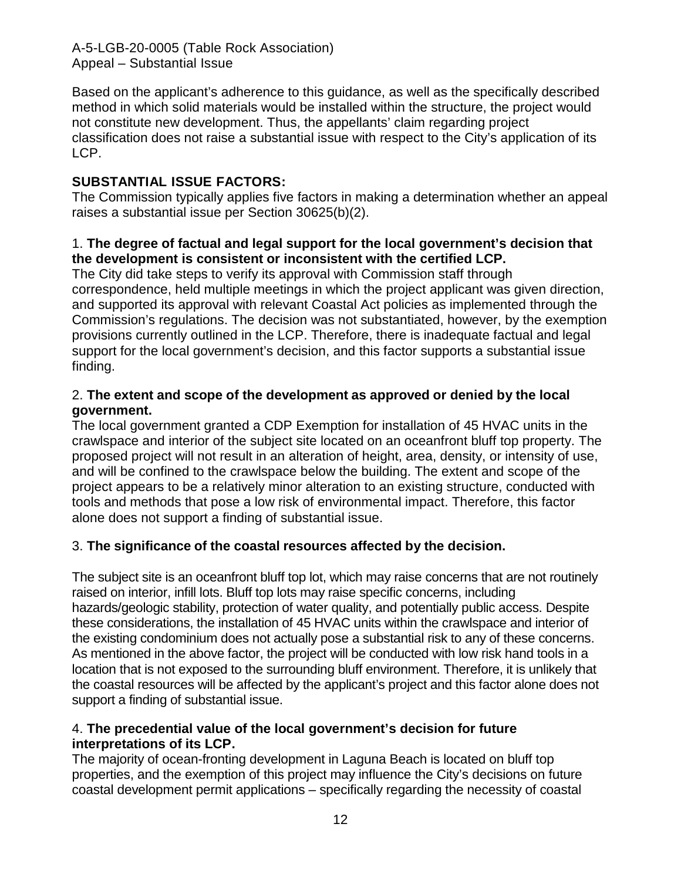Based on the applicant's adherence to this guidance, as well as the specifically described method in which solid materials would be installed within the structure, the project would not constitute new development. Thus, the appellants' claim regarding project classification does not raise a substantial issue with respect to the City's application of its LCP.

### **SUBSTANTIAL ISSUE FACTORS:**

The Commission typically applies five factors in making a determination whether an appeal raises a substantial issue per Section 30625(b)(2).

### 1. **The degree of factual and legal support for the local government's decision that the development is consistent or inconsistent with the certified LCP.**

The City did take steps to verify its approval with Commission staff through correspondence, held multiple meetings in which the project applicant was given direction, and supported its approval with relevant Coastal Act policies as implemented through the Commission's regulations. The decision was not substantiated, however, by the exemption provisions currently outlined in the LCP. Therefore, there is inadequate factual and legal support for the local government's decision, and this factor supports a substantial issue finding.

#### 2. **The extent and scope of the development as approved or denied by the local government.**

The local government granted a CDP Exemption for installation of 45 HVAC units in the crawlspace and interior of the subject site located on an oceanfront bluff top property. The proposed project will not result in an alteration of height, area, density, or intensity of use, and will be confined to the crawlspace below the building. The extent and scope of the project appears to be a relatively minor alteration to an existing structure, conducted with tools and methods that pose a low risk of environmental impact. Therefore, this factor alone does not support a finding of substantial issue.

### 3. **The significance of the coastal resources affected by the decision.**

The subject site is an oceanfront bluff top lot, which may raise concerns that are not routinely raised on interior, infill lots. Bluff top lots may raise specific concerns, including hazards/geologic stability, protection of water quality, and potentially public access. Despite these considerations, the installation of 45 HVAC units within the crawlspace and interior of the existing condominium does not actually pose a substantial risk to any of these concerns. As mentioned in the above factor, the project will be conducted with low risk hand tools in a location that is not exposed to the surrounding bluff environment. Therefore, it is unlikely that the coastal resources will be affected by the applicant's project and this factor alone does not support a finding of substantial issue.

#### 4. **The precedential value of the local government's decision for future interpretations of its LCP.**

The majority of ocean-fronting development in Laguna Beach is located on bluff top properties, and the exemption of this project may influence the City's decisions on future coastal development permit applications – specifically regarding the necessity of coastal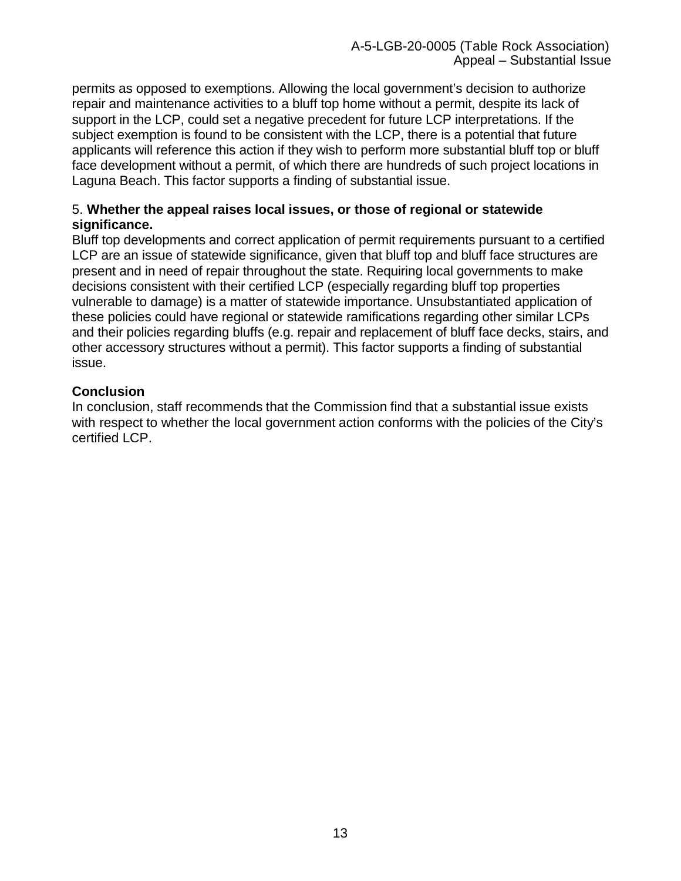permits as opposed to exemptions. Allowing the local government's decision to authorize repair and maintenance activities to a bluff top home without a permit, despite its lack of support in the LCP, could set a negative precedent for future LCP interpretations. If the subject exemption is found to be consistent with the LCP, there is a potential that future applicants will reference this action if they wish to perform more substantial bluff top or bluff face development without a permit, of which there are hundreds of such project locations in Laguna Beach. This factor supports a finding of substantial issue.

#### 5. **Whether the appeal raises local issues, or those of regional or statewide significance.**

Bluff top developments and correct application of permit requirements pursuant to a certified LCP are an issue of statewide significance, given that bluff top and bluff face structures are present and in need of repair throughout the state. Requiring local governments to make decisions consistent with their certified LCP (especially regarding bluff top properties vulnerable to damage) is a matter of statewide importance. Unsubstantiated application of these policies could have regional or statewide ramifications regarding other similar LCPs and their policies regarding bluffs (e.g. repair and replacement of bluff face decks, stairs, and other accessory structures without a permit). This factor supports a finding of substantial issue.

### **Conclusion**

In conclusion, staff recommends that the Commission find that a substantial issue exists with respect to whether the local government action conforms with the policies of the City's certified LCP.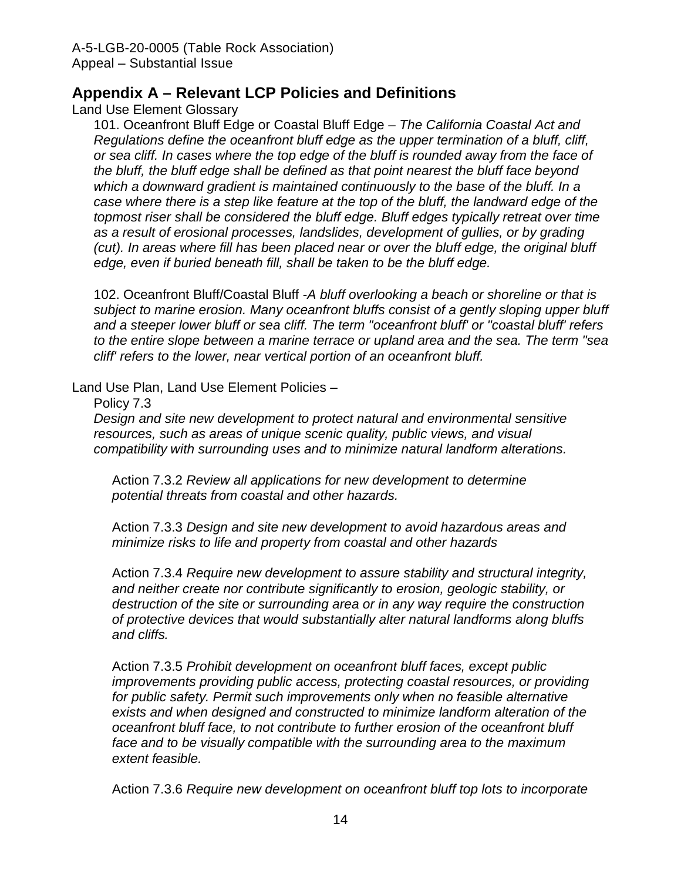### **Appendix A – Relevant LCP Policies and Definitions**

Land Use Element Glossary

101. Oceanfront Bluff Edge or Coastal Bluff Edge – *The California Coastal Act and Regulations define the oceanfront bluff edge as the upper termination of a bluff, cliff, or sea cliff. In cases where the top edge of the bluff is rounded away from the face of the bluff, the bluff edge shall be defined as that point nearest the bluff face beyond which a downward gradient is maintained continuously to the base of the bluff. In a case where there is a step like feature at the top of the bluff, the landward edge of the topmost riser shall be considered the bluff edge. Bluff edges typically retreat over time as a result of erosional processes, landslides, development of gullies, or by grading (cut). In areas where fill has been placed near or over the bluff edge, the original bluff edge, even if buried beneath fill, shall be taken to be the bluff edge.* 

102. Oceanfront Bluff/Coastal Bluff -*A bluff overlooking a beach or shoreline or that is subject to marine erosion. Many oceanfront bluffs consist of a gently sloping upper bluff and a steeper lower bluff or sea cliff. The term "oceanfront bluff' or "coastal bluff' refers to the entire slope between a marine terrace or upland area and the sea. The term "sea cliff' refers to the lower, near vertical portion of an oceanfront bluff.*

Land Use Plan, Land Use Element Policies –

Policy 7.3

*Design and site new development to protect natural and environmental sensitive resources, such as areas of unique scenic quality, public views, and visual compatibility with surrounding uses and to minimize natural landform alterations.* 

Action 7.3.2 *Review all applications for new development to determine potential threats from coastal and other hazards.* 

Action 7.3.3 *Design and site new development to avoid hazardous areas and minimize risks to life and property from coastal and other hazards*

Action 7.3.4 *Require new development to assure stability and structural integrity, and neither create nor contribute significantly to erosion, geologic stability, or destruction of the site or surrounding area or in any way require the construction of protective devices that would substantially alter natural landforms along bluffs and cliffs.*

Action 7.3.5 *Prohibit development on oceanfront bluff faces, except public improvements providing public access, protecting coastal resources, or providing for public safety. Permit such improvements only when no feasible alternative exists and when designed and constructed to minimize landform alteration of the oceanfront bluff face, to not contribute to further erosion of the oceanfront bluff face and to be visually compatible with the surrounding area to the maximum extent feasible.* 

Action 7.3.6 *Require new development on oceanfront bluff top lots to incorporate*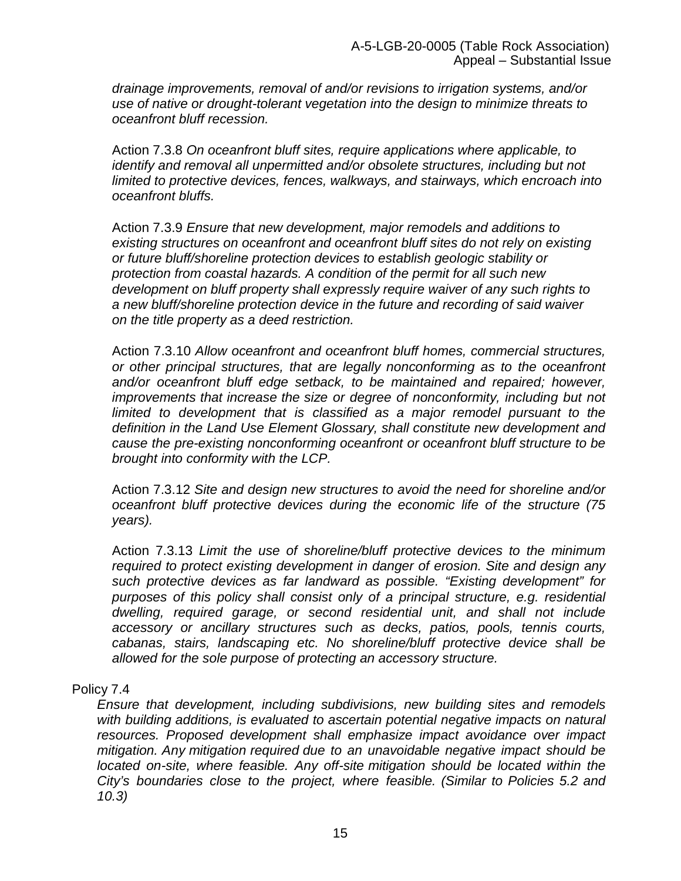*drainage improvements, removal of and/or revisions to irrigation systems, and/or use of native or drought-tolerant vegetation into the design to minimize threats to oceanfront bluff recession.*

Action 7.3.8 *On oceanfront bluff sites, require applications where applicable, to identify and removal all unpermitted and/or obsolete structures, including but not limited to protective devices, fences, walkways, and stairways, which encroach into oceanfront bluffs.*

Action 7.3.9 *Ensure that new development, major remodels and additions to existing structures on oceanfront and oceanfront bluff sites do not rely on existing or future bluff/shoreline protection devices to establish geologic stability or protection from coastal hazards. A condition of the permit for all such new development on bluff property shall expressly require waiver of any such rights to a new bluff/shoreline protection device in the future and recording of said waiver on the title property as a deed restriction.*

Action 7.3.10 *Allow oceanfront and oceanfront bluff homes, commercial structures, or other principal structures, that are legally nonconforming as to the oceanfront and/or oceanfront bluff edge setback, to be maintained and repaired; however, improvements that increase the size or degree of nonconformity, including but not limited to development that is classified as a major remodel pursuant to the definition in the Land Use Element Glossary, shall constitute new development and cause the pre-existing nonconforming oceanfront or oceanfront bluff structure to be brought into conformity with the LCP.* 

Action 7.3.12 *Site and design new structures to avoid the need for shoreline and/or oceanfront bluff protective devices during the economic life of the structure (75 years).* 

Action 7.3.13 *Limit the use of shoreline/bluff protective devices to the minimum required to protect existing development in danger of erosion. Site and design any such protective devices as far landward as possible. "Existing development" for purposes of this policy shall consist only of a principal structure, e.g. residential dwelling, required garage, or second residential unit, and shall not include accessory or ancillary structures such as decks, patios, pools, tennis courts, cabanas, stairs, landscaping etc. No shoreline/bluff protective device shall be allowed for the sole purpose of protecting an accessory structure.*

#### Policy 7.4

*Ensure that development, including subdivisions, new building sites and remodels with building additions, is evaluated to ascertain potential negative impacts on natural resources. Proposed development shall emphasize impact avoidance over impact mitigation. Any mitigation required due to an unavoidable negative impact should be located on-site, where feasible. Any off-site mitigation should be located within the City's boundaries close to the project, where feasible. (Similar to Policies 5.2 and 10.3)*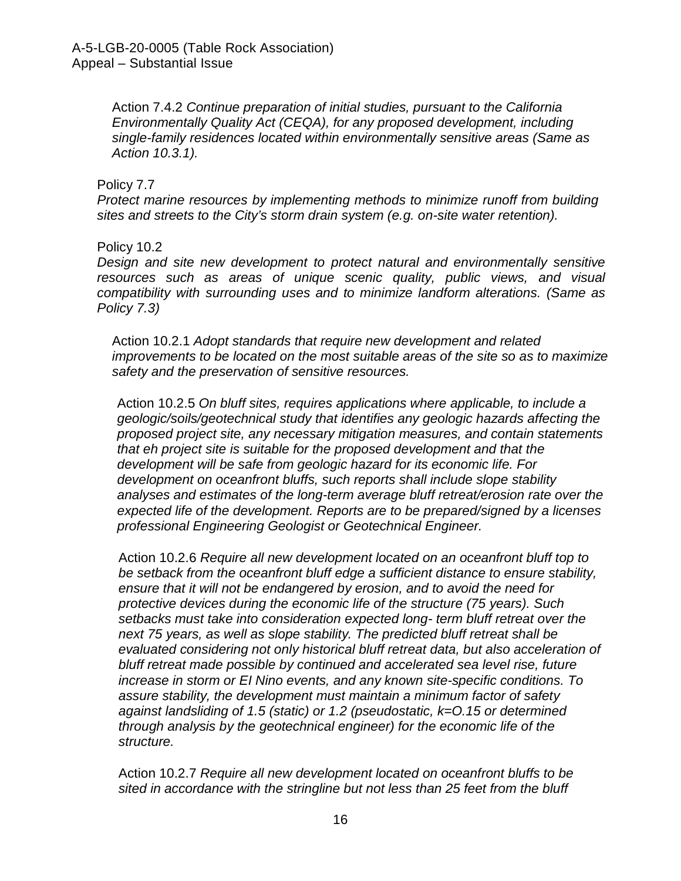Action 7.4.2 *Continue preparation of initial studies, pursuant to the California Environmentally Quality Act (CEQA), for any proposed development, including single-family residences located within environmentally sensitive areas (Same as Action 10.3.1).*

#### Policy 7.7

*Protect marine resources by implementing methods to minimize runoff from building sites and streets to the City's storm drain system (e.g. on-site water retention).*

Policy 10.2

*Design and site new development to protect natural and environmentally sensitive resources such as areas of unique scenic quality, public views, and visual compatibility with surrounding uses and to minimize landform alterations. (Same as Policy 7.3)* 

Action 10.2.1 *Adopt standards that require new development and related improvements to be located on the most suitable areas of the site so as to maximize safety and the preservation of sensitive resources.* 

Action 10.2.5 *On bluff sites, requires applications where applicable, to include a geologic/soils/geotechnical study that identifies any geologic hazards affecting the proposed project site, any necessary mitigation measures, and contain statements that eh project site is suitable for the proposed development and that the development will be safe from geologic hazard for its economic life. For development on oceanfront bluffs, such reports shall include slope stability analyses and estimates of the long-term average bluff retreat/erosion rate over the expected life of the development. Reports are to be prepared/signed by a licenses professional Engineering Geologist or Geotechnical Engineer.*

Action 10.2.6 *Require all new development located on an oceanfront bluff top to be setback from the oceanfront bluff edge a sufficient distance to ensure stability, ensure that it will not be endangered by erosion, and to avoid the need for protective devices during the economic life of the structure (75 years). Such setbacks must take into consideration expected long- term bluff retreat over the next 75 years, as well as slope stability. The predicted bluff retreat shall be evaluated considering not only historical bluff retreat data, but also acceleration of bluff retreat made possible by continued and accelerated sea level rise, future increase in storm or EI Nino events, and any known site-specific conditions. To assure stability, the development must maintain a minimum factor of safety against landsliding of 1.5 (static) or 1.2 (pseudostatic, k=O.15 or determined through analysis by the geotechnical engineer) for the economic life of the structure.* 

Action 10.2.7 *Require all new development located on oceanfront bluffs to be sited in accordance with the stringline but not less than 25 feet from the bluff*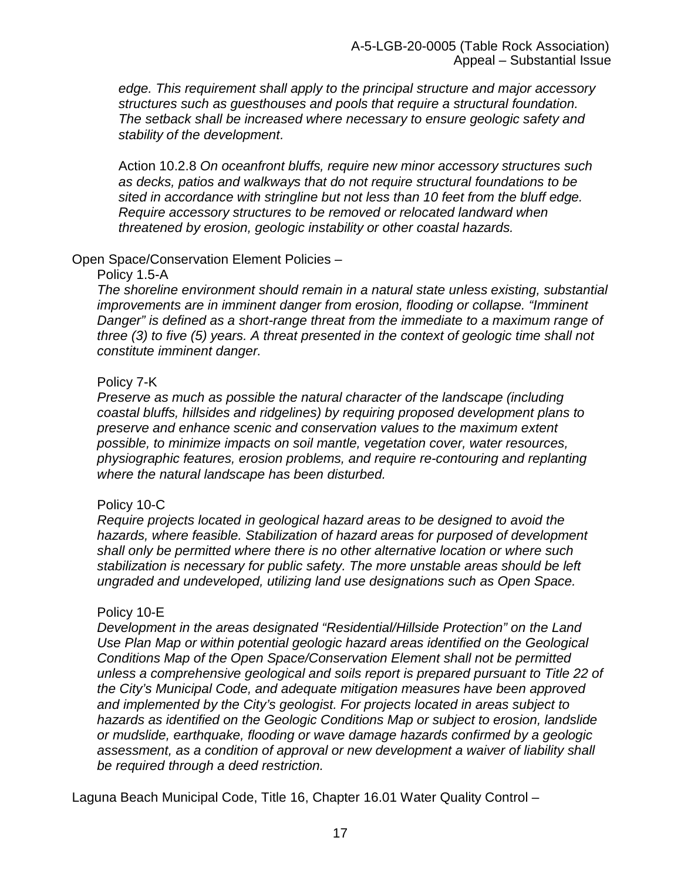*edge. This requirement shall apply to the principal structure and major accessory structures such as guesthouses and pools that require a structural foundation. The setback shall be increased where necessary to ensure geologic safety and stability of the development.* 

Action 10.2.8 *On oceanfront bluffs, require new minor accessory structures such as decks, patios and walkways that do not require structural foundations to be sited in accordance with stringline but not less than 10 feet from the bluff edge. Require accessory structures to be removed or relocated landward when threatened by erosion, geologic instability or other coastal hazards.*

#### Open Space/Conservation Element Policies –

#### Policy 1.5-A

*The shoreline environment should remain in a natural state unless existing, substantial improvements are in imminent danger from erosion, flooding or collapse. "Imminent Danger" is defined as a short-range threat from the immediate to a maximum range of three (3) to five (5) years. A threat presented in the context of geologic time shall not constitute imminent danger.*

#### Policy 7-K

*Preserve as much as possible the natural character of the landscape (including coastal bluffs, hillsides and ridgelines) by requiring proposed development plans to preserve and enhance scenic and conservation values to the maximum extent possible, to minimize impacts on soil mantle, vegetation cover, water resources, physiographic features, erosion problems, and require re-contouring and replanting where the natural landscape has been disturbed.*

#### Policy 10-C

*Require projects located in geological hazard areas to be designed to avoid the hazards, where feasible. Stabilization of hazard areas for purposed of development shall only be permitted where there is no other alternative location or where such stabilization is necessary for public safety. The more unstable areas should be left ungraded and undeveloped, utilizing land use designations such as Open Space.*

#### Policy 10-E

*Development in the areas designated "Residential/Hillside Protection" on the Land Use Plan Map or within potential geologic hazard areas identified on the Geological Conditions Map of the Open Space/Conservation Element shall not be permitted unless a comprehensive geological and soils report is prepared pursuant to Title 22 of the City's Municipal Code, and adequate mitigation measures have been approved and implemented by the City's geologist. For projects located in areas subject to hazards as identified on the Geologic Conditions Map or subject to erosion, landslide or mudslide, earthquake, flooding or wave damage hazards confirmed by a geologic*  assessment, as a condition of approval or new development a waiver of liability shall *be required through a deed restriction.*

Laguna Beach Municipal Code, Title 16, Chapter 16.01 Water Quality Control –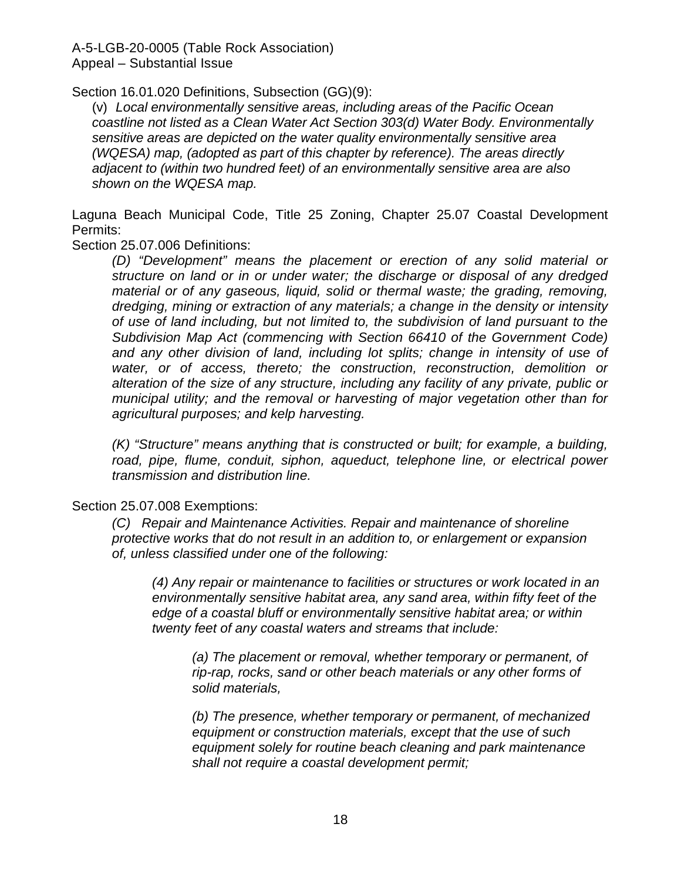Section 16.01.020 Definitions, Subsection (GG)(9):

(v) *Local environmentally sensitive areas, including areas of the Pacific Ocean coastline not listed as a Clean Water Act Section 303(d) Water Body. Environmentally sensitive areas are depicted on the water quality environmentally sensitive area (WQESA) map, (adopted as part of this chapter by reference). The areas directly adjacent to (within two hundred feet) of an environmentally sensitive area are also shown on the WQESA map.*

Laguna Beach Municipal Code, Title 25 Zoning, Chapter 25.07 Coastal Development Permits:

Section 25.07.006 Definitions:

*(D) "Development" means the placement or erection of any solid material or structure on land or in or under water; the discharge or disposal of any dredged material or of any gaseous, liquid, solid or thermal waste; the grading, removing, dredging, mining or extraction of any materials; a change in the density or intensity of use of land including, but not limited to, the subdivision of land pursuant to the Subdivision Map Act (commencing with Section 66410 of the Government Code) and any other division of land, including lot splits; change in intensity of use of water, or of access, thereto; the construction, reconstruction, demolition or alteration of the size of any structure, including any facility of any private, public or municipal utility; and the removal or harvesting of major vegetation other than for agricultural purposes; and kelp harvesting.*

*(K) "Structure" means anything that is constructed or built; for example, a building, road, pipe, flume, conduit, siphon, aqueduct, telephone line, or electrical power transmission and distribution line.*

#### Section 25.07.008 Exemptions:

*(C) Repair and Maintenance Activities. Repair and maintenance of shoreline protective works that do not result in an addition to, or enlargement or expansion of, unless classified under one of the following:*

*(4) Any repair or maintenance to facilities or structures or work located in an environmentally sensitive habitat area, any sand area, within fifty feet of the edge of a coastal bluff or environmentally sensitive habitat area; or within twenty feet of any coastal waters and streams that include:*

*(a) The placement or removal, whether temporary or permanent, of rip-rap, rocks, sand or other beach materials or any other forms of solid materials,*

*(b) The presence, whether temporary or permanent, of mechanized equipment or construction materials, except that the use of such equipment solely for routine beach cleaning and park maintenance shall not require a coastal development permit;*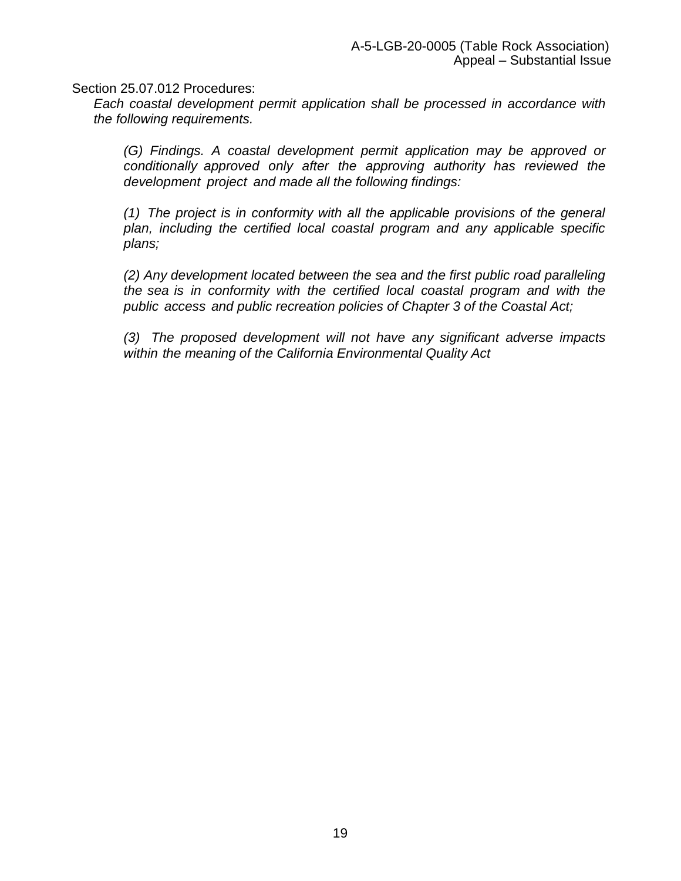Section 25.07.012 Procedures:

*Each coastal development permit application shall be processed in accordance with the following requirements.*

*(G) Findings. A coastal development permit application may be approved or conditionally approved only after the approving authority has reviewed the development project and made all the following findings:* 

*(1) The project is in conformity with all the applicable provisions of the general plan, including the certified local coastal program and any applicable specific plans;* 

*(2) Any development located between the sea and the first public road paralleling the sea is in conformity with the certified local coastal program and with the public access and public recreation policies of Chapter 3 of the Coastal Act;*

*(3) The proposed development will not have any significant adverse impacts within the meaning of the California Environmental Quality Act*